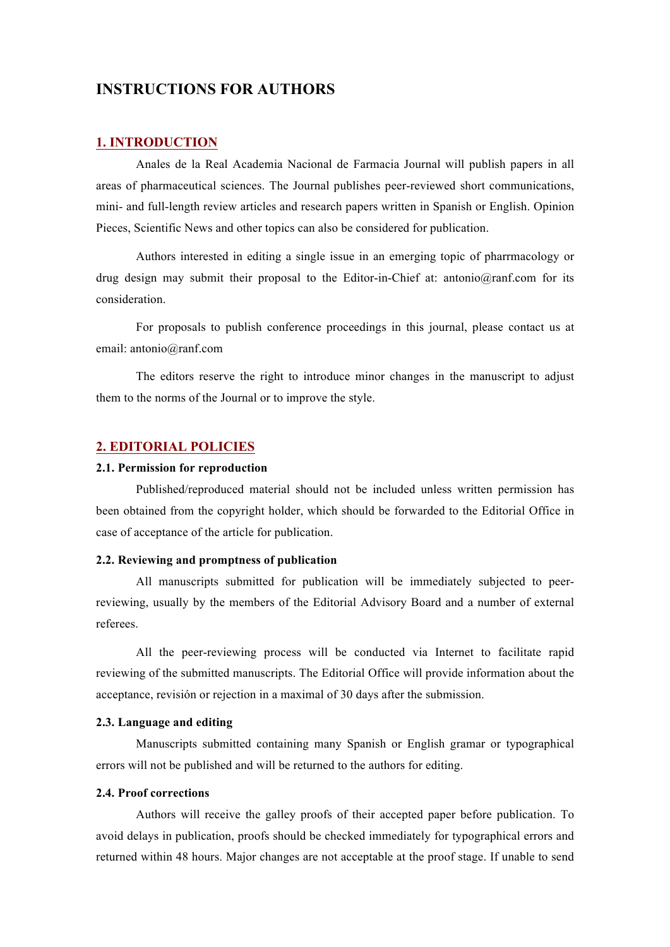# **INSTRUCTIONS FOR AUTHORS**

# **1. INTRODUCTION**

Anales de la Real Academia Nacional de Farmacia Journal will publish papers in all areas of pharmaceutical sciences. The Journal publishes peer-reviewed short communications, mini- and full-length review articles and research papers written in Spanish or English. Opinion Pieces, Scientific News and other topics can also be considered for publication.

Authors interested in editing a single issue in an emerging topic of pharrmacology or drug design may submit their proposal to the Editor-in-Chief at: antonio@ranf.com for its consideration.

For proposals to publish conference proceedings in this journal, please contact us at email: antonio@ranf.com

The editors reserve the right to introduce minor changes in the manuscript to adjust them to the norms of the Journal or to improve the style.

# **2. EDITORIAL POLICIES**

### **2.1. Permission for reproduction**

Published/reproduced material should not be included unless written permission has been obtained from the copyright holder, which should be forwarded to the Editorial Office in case of acceptance of the article for publication.

# **2.2. Reviewing and promptness of publication**

All manuscripts submitted for publication will be immediately subjected to peerreviewing, usually by the members of the Editorial Advisory Board and a number of external referees.

All the peer-reviewing process will be conducted via Internet to facilitate rapid reviewing of the submitted manuscripts. The Editorial Office will provide information about the acceptance, revisión or rejection in a maximal of 30 days after the submission.

### **2.3. Language and editing**

Manuscripts submitted containing many Spanish or English gramar or typographical errors will not be published and will be returned to the authors for editing.

# **2.4. Proof corrections**

Authors will receive the galley proofs of their accepted paper before publication. To avoid delays in publication, proofs should be checked immediately for typographical errors and returned within 48 hours. Major changes are not acceptable at the proof stage. If unable to send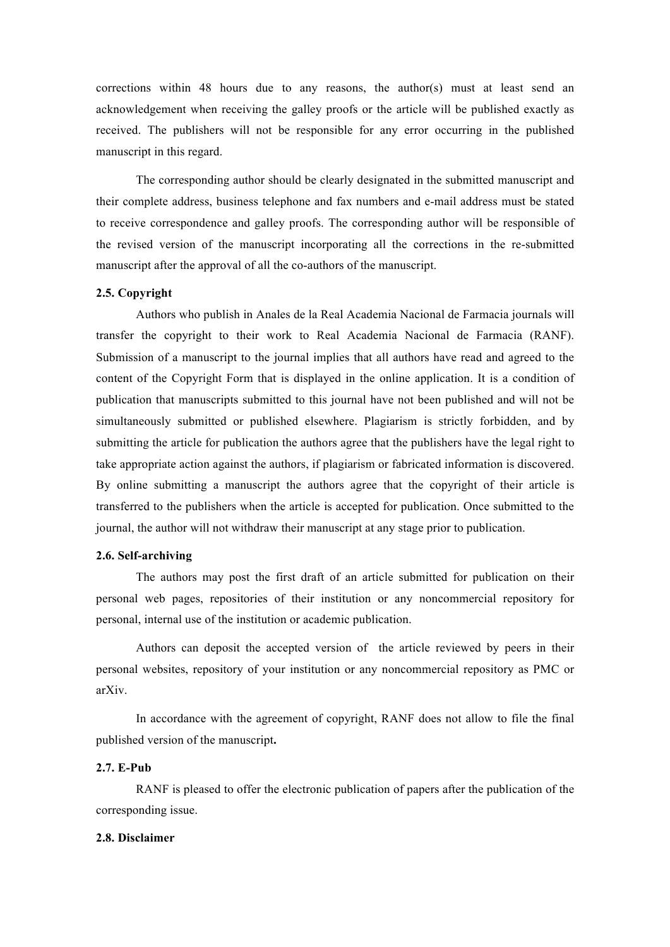corrections within 48 hours due to any reasons, the author(s) must at least send an acknowledgement when receiving the galley proofs or the article will be published exactly as received. The publishers will not be responsible for any error occurring in the published manuscript in this regard.

The corresponding author should be clearly designated in the submitted manuscript and their complete address, business telephone and fax numbers and e-mail address must be stated to receive correspondence and galley proofs. The corresponding author will be responsible of the revised version of the manuscript incorporating all the corrections in the re-submitted manuscript after the approval of all the co-authors of the manuscript.

### **2.5. Copyright**

Authors who publish in Anales de la Real Academia Nacional de Farmacia journals will transfer the copyright to their work to Real Academia Nacional de Farmacia (RANF). Submission of a manuscript to the journal implies that all authors have read and agreed to the content of the Copyright Form that is displayed in the online application. It is a condition of publication that manuscripts submitted to this journal have not been published and will not be simultaneously submitted or published elsewhere. Plagiarism is strictly forbidden, and by submitting the article for publication the authors agree that the publishers have the legal right to take appropriate action against the authors, if plagiarism or fabricated information is discovered. By online submitting a manuscript the authors agree that the copyright of their article is transferred to the publishers when the article is accepted for publication. Once submitted to the journal, the author will not withdraw their manuscript at any stage prior to publication.

## **2.6. Self-archiving**

The authors may post the first draft of an article submitted for publication on their personal web pages, repositories of their institution or any noncommercial repository for personal, internal use of the institution or academic publication.

Authors can deposit the accepted version of the article reviewed by peers in their personal websites, repository of your institution or any noncommercial repository as PMC or arXiv.

In accordance with the agreement of copyright, RANF does not allow to file the final published version of the manuscript**.**

## **2.7. E-Pub**

RANF is pleased to offer the electronic publication of papers after the publication of the corresponding issue.

#### **2.8. Disclaimer**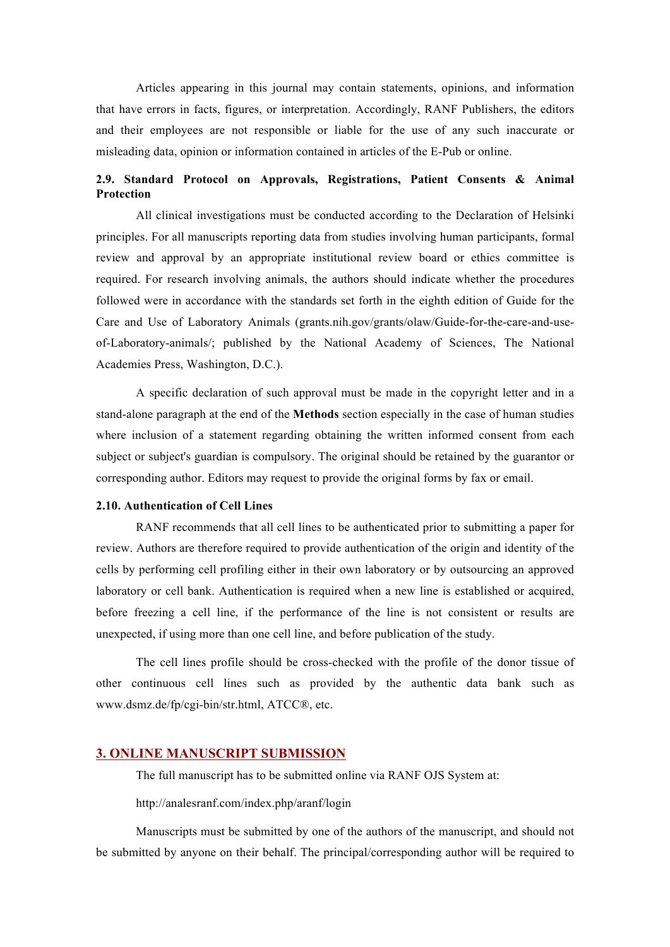Articles appearing in this journal may contain statements, opinions, and information that have errors in facts, figures, or interpretation. Accordingly, RANF Publishers, the editors and their employees are not responsible or liable for the use of any such inaccurate or misleading data, opinion or information contained in articles of the E-Pub or online.

# **2.9. Standard Protocol on Approvals, Registrations, Patient Consents & Animal Protection**

All clinical investigations must be conducted according to the Declaration of Helsinki principles. For all manuscripts reporting data from studies involving human participants, formal review and approval by an appropriate institutional review board or ethics committee is required. For research involving animals, the authors should indicate whether the procedures followed were in accordance with the standards set forth in the eighth edition of Guide for the Care and Use of Laboratory Animals (grants.nih.gov/grants/olaw/Guide-for-the-care-and-useof-Laboratory-animals/; published by the National Academy of Sciences, The National Academies Press, Washington, D.C.).

A specific declaration of such approval must be made in the copyright letter and in a stand-alone paragraph at the end of the **Methods** section especially in the case of human studies where inclusion of a statement regarding obtaining the written informed consent from each subject or subject's guardian is compulsory. The original should be retained by the guarantor or corresponding author. Editors may request to provide the original forms by fax or email.

# **2.10. Authentication of Cell Lines**

RANF recommends that all cell lines to be authenticated prior to submitting a paper for review. Authors are therefore required to provide authentication of the origin and identity of the cells by performing cell profiling either in their own laboratory or by outsourcing an approved laboratory or cell bank. Authentication is required when a new line is established or acquired, before freezing a cell line, if the performance of the line is not consistent or results are unexpected, if using more than one cell line, and before publication of the study.

The cell lines profile should be cross-checked with the profile of the donor tissue of other continuous cell lines such as provided by the authentic data bank such as www.dsmz.de/fp/cgi-bin/str.html, ATCC®, etc.

#### **3. ONLINE MANUSCRIPT SUBMISSION**

The full manuscript has to be submitted online via RANF OJS System at:

http://analesranf.com/index.php/aranf/login

Manuscripts must be submitted by one of the authors of the manuscript, and should not be submitted by anyone on their behalf. The principal/corresponding author will be required to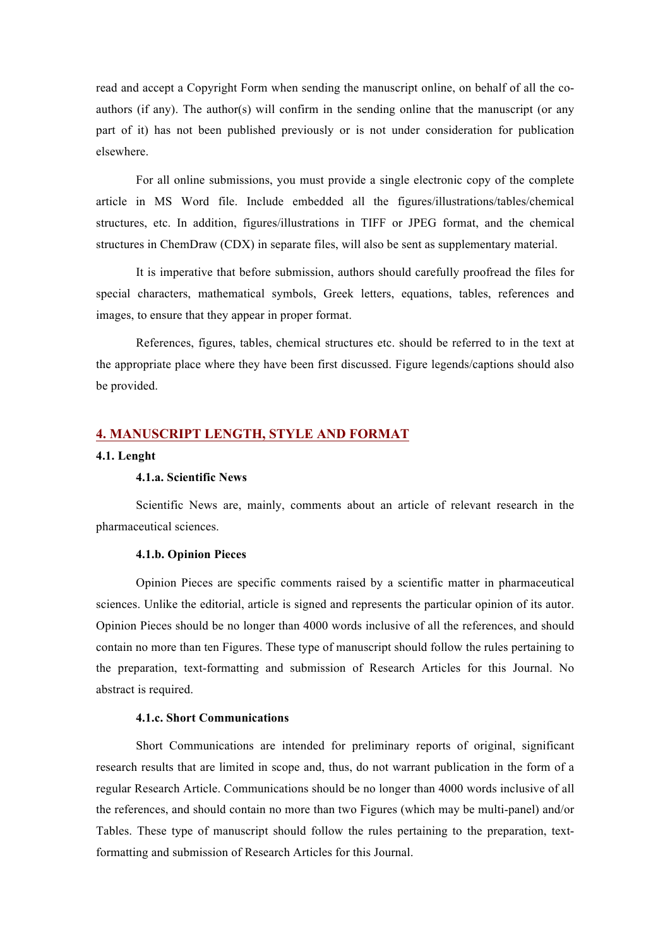read and accept a Copyright Form when sending the manuscript online, on behalf of all the coauthors (if any). The author(s) will confirm in the sending online that the manuscript (or any part of it) has not been published previously or is not under consideration for publication elsewhere.

For all online submissions, you must provide a single electronic copy of the complete article in MS Word file. Include embedded all the figures/illustrations/tables/chemical structures, etc. In addition, figures/illustrations in TIFF or JPEG format, and the chemical structures in ChemDraw (CDX) in separate files, will also be sent as supplementary material.

It is imperative that before submission, authors should carefully proofread the files for special characters, mathematical symbols, Greek letters, equations, tables, references and images, to ensure that they appear in proper format.

References, figures, tables, chemical structures etc. should be referred to in the text at the appropriate place where they have been first discussed. Figure legends/captions should also be provided.

# **4. MANUSCRIPT LENGTH, STYLE AND FORMAT**

# **4.1. Lenght**

# **4.1.a. Scientific News**

Scientific News are, mainly, comments about an article of relevant research in the pharmaceutical sciences.

### **4.1.b. Opinion Pieces**

Opinion Pieces are specific comments raised by a scientific matter in pharmaceutical sciences. Unlike the editorial, article is signed and represents the particular opinion of its autor. Opinion Pieces should be no longer than 4000 words inclusive of all the references, and should contain no more than ten Figures. These type of manuscript should follow the rules pertaining to the preparation, text-formatting and submission of Research Articles for this Journal. No abstract is required.

### **4.1.c. Short Communications**

Short Communications are intended for preliminary reports of original, significant research results that are limited in scope and, thus, do not warrant publication in the form of a regular Research Article. Communications should be no longer than 4000 words inclusive of all the references, and should contain no more than two Figures (which may be multi-panel) and/or Tables. These type of manuscript should follow the rules pertaining to the preparation, textformatting and submission of Research Articles for this Journal.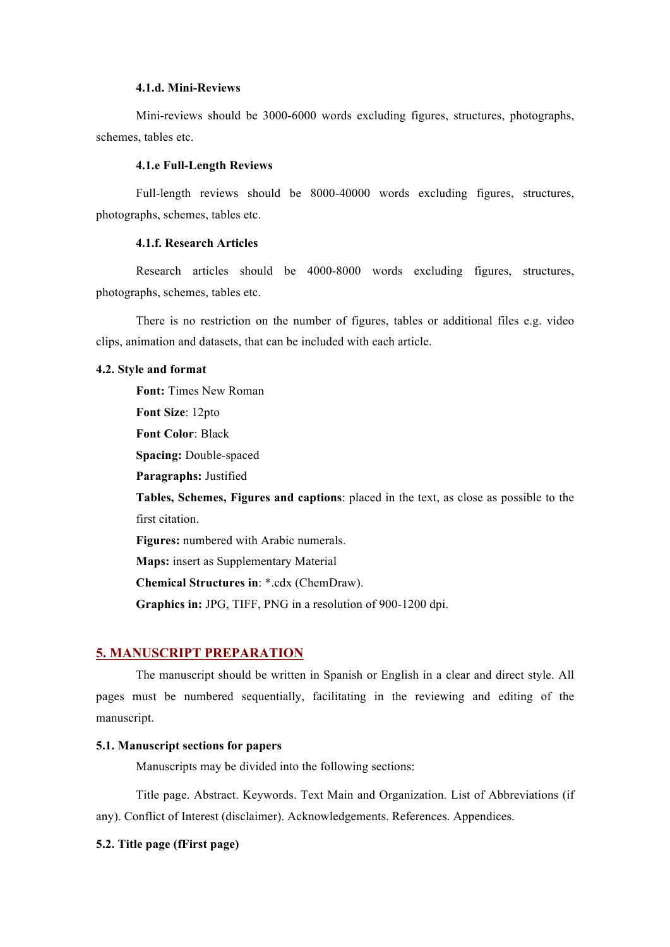#### **4.1.d. Mini-Reviews**

Mini-reviews should be 3000-6000 words excluding figures, structures, photographs, schemes, tables etc.

# **4.1.e Full-Length Reviews**

Full-length reviews should be 8000-40000 words excluding figures, structures, photographs, schemes, tables etc.

### **4.1.f. Research Articles**

Research articles should be 4000-8000 words excluding figures, structures, photographs, schemes, tables etc.

There is no restriction on the number of figures, tables or additional files e.g. video clips, animation and datasets, that can be included with each article.

### **4.2. Style and format**

**Font:** Times New Roman **Font Size**: 12pto **Font Color**: Black **Spacing:** Double-spaced **Paragraphs:** Justified **Tables, Schemes, Figures and captions**: placed in the text, as close as possible to the first citation. **Figures:** numbered with Arabic numerals. **Maps:** insert as Supplementary Material **Chemical Structures in**: \*.cdx (ChemDraw).

**Graphics in:** JPG, TIFF, PNG in a resolution of 900-1200 dpi.

### **5. MANUSCRIPT PREPARATION**

The manuscript should be written in Spanish or English in a clear and direct style. All pages must be numbered sequentially, facilitating in the reviewing and editing of the manuscript.

# **5.1. Manuscript sections for papers**

Manuscripts may be divided into the following sections:

Title page. Abstract. Keywords. Text Main and Organization. List of Abbreviations (if any). Conflict of Interest (disclaimer). Acknowledgements. References. Appendices.

# **5.2. Title page (fFirst page)**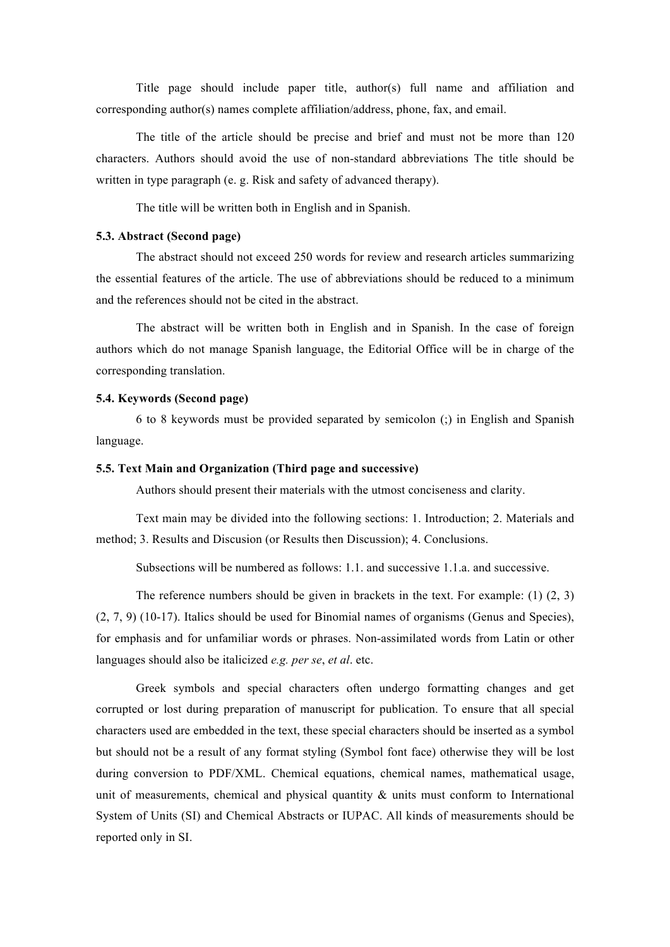Title page should include paper title, author(s) full name and affiliation and corresponding author(s) names complete affiliation/address, phone, fax, and email.

The title of the article should be precise and brief and must not be more than 120 characters. Authors should avoid the use of non-standard abbreviations The title should be written in type paragraph (e. g. Risk and safety of advanced therapy).

The title will be written both in English and in Spanish.

### **5.3. Abstract (Second page)**

The abstract should not exceed 250 words for review and research articles summarizing the essential features of the article. The use of abbreviations should be reduced to a minimum and the references should not be cited in the abstract.

The abstract will be written both in English and in Spanish. In the case of foreign authors which do not manage Spanish language, the Editorial Office will be in charge of the corresponding translation.

### **5.4. Keywords (Second page)**

6 to 8 keywords must be provided separated by semicolon (;) in English and Spanish language.

### **5.5. Text Main and Organization (Third page and successive)**

Authors should present their materials with the utmost conciseness and clarity.

Text main may be divided into the following sections: 1. Introduction; 2. Materials and method; 3. Results and Discusion (or Results then Discussion); 4. Conclusions.

Subsections will be numbered as follows: 1.1. and successive 1.1.a. and successive.

The reference numbers should be given in brackets in the text. For example: (1) (2, 3) (2, 7, 9) (10-17). Italics should be used for Binomial names of organisms (Genus and Species), for emphasis and for unfamiliar words or phrases. Non-assimilated words from Latin or other languages should also be italicized *e.g. per se*, *et al*. etc.

Greek symbols and special characters often undergo formatting changes and get corrupted or lost during preparation of manuscript for publication. To ensure that all special characters used are embedded in the text, these special characters should be inserted as a symbol but should not be a result of any format styling (Symbol font face) otherwise they will be lost during conversion to PDF/XML. Chemical equations, chemical names, mathematical usage, unit of measurements, chemical and physical quantity  $\&$  units must conform to International System of Units (SI) and Chemical Abstracts or IUPAC. All kinds of measurements should be reported only in SI.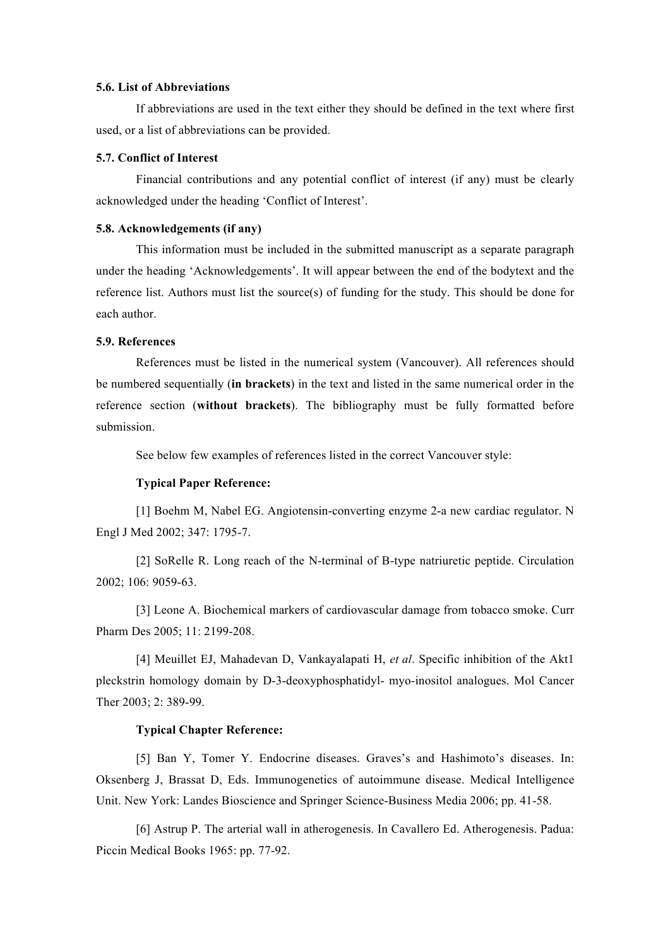#### **5.6. List of Abbreviations**

If abbreviations are used in the text either they should be defined in the text where first used, or a list of abbreviations can be provided.

### **5.7. Conflict of Interest**

Financial contributions and any potential conflict of interest (if any) must be clearly acknowledged under the heading 'Conflict of Interest'.

# **5.8. Acknowledgements (if any)**

This information must be included in the submitted manuscript as a separate paragraph under the heading 'Acknowledgements'. It will appear between the end of the bodytext and the reference list. Authors must list the source(s) of funding for the study. This should be done for each author.

## **5.9. References**

References must be listed in the numerical system (Vancouver). All references should be numbered sequentially (**in brackets**) in the text and listed in the same numerical order in the reference section (**without brackets**). The bibliography must be fully formatted before submission.

See below few examples of references listed in the correct Vancouver style:

### **Typical Paper Reference:**

[1] Boehm M, Nabel EG. Angiotensin-converting enzyme 2-a new cardiac regulator. N Engl J Med 2002; 347: 1795-7.

[2] SoRelle R. Long reach of the N-terminal of B-type natriuretic peptide. Circulation 2002; 106: 9059-63.

[3] Leone A. Biochemical markers of cardiovascular damage from tobacco smoke. Curr Pharm Des 2005; 11: 2199-208.

[4] Meuillet EJ, Mahadevan D, Vankayalapati H, *et al*. Specific inhibition of the Akt1 pleckstrin homology domain by D-3-deoxyphosphatidyl- myo-inositol analogues. Mol Cancer Ther 2003; 2: 389-99.

### **Typical Chapter Reference:**

[5] Ban Y, Tomer Y. Endocrine diseases. Graves's and Hashimoto's diseases. In: Oksenberg J, Brassat D, Eds. Immunogenetics of autoimmune disease. Medical Intelligence Unit. New York: Landes Bioscience and Springer Science-Business Media 2006; pp. 41-58.

[6] Astrup P. The arterial wall in atherogenesis. In Cavallero Ed. Atherogenesis. Padua: Piccin Medical Books 1965: pp. 77-92.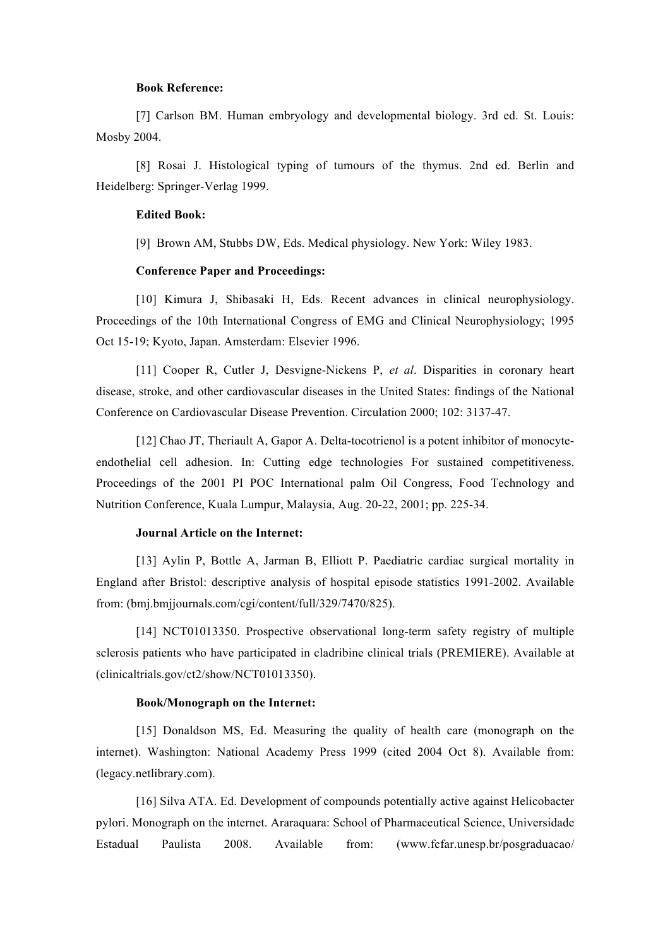### **Book Reference:**

[7] Carlson BM. Human embryology and developmental biology. 3rd ed. St. Louis: Mosby 2004.

[8] Rosai J. Histological typing of tumours of the thymus. 2nd ed. Berlin and Heidelberg: Springer-Verlag 1999.

### **Edited Book:**

[9] Brown AM, Stubbs DW, Eds. Medical physiology. New York: Wiley 1983.

### **Conference Paper and Proceedings:**

[10] Kimura J, Shibasaki H, Eds. Recent advances in clinical neurophysiology. Proceedings of the 10th International Congress of EMG and Clinical Neurophysiology; 1995 Oct 15-19; Kyoto, Japan. Amsterdam: Elsevier 1996.

[11] Cooper R, Cutler J, Desvigne-Nickens P, *et al*. Disparities in coronary heart disease, stroke, and other cardiovascular diseases in the United States: findings of the National Conference on Cardiovascular Disease Prevention. Circulation 2000; 102: 3137-47.

[12] Chao JT, Theriault A, Gapor A. Delta-tocotrienol is a potent inhibitor of monocyteendothelial cell adhesion. In: Cutting edge technologies For sustained competitiveness. Proceedings of the 2001 PI POC International palm Oil Congress, Food Technology and Nutrition Conference, Kuala Lumpur, Malaysia, Aug. 20-22, 2001; pp. 225-34.

### **Journal Article on the Internet:**

[13] Aylin P, Bottle A, Jarman B, Elliott P. Paediatric cardiac surgical mortality in England after Bristol: descriptive analysis of hospital episode statistics 1991-2002. Available from: (bmj.bmjjournals.com/cgi/content/full/329/7470/825).

[14] NCT01013350. Prospective observational long-term safety registry of multiple sclerosis patients who have participated in cladribine clinical trials (PREMIERE). Available at (clinicaltrials.gov/ct2/show/NCT01013350).

#### **Book/Monograph on the Internet:**

[15] Donaldson MS, Ed. Measuring the quality of health care (monograph on the internet). Washington: National Academy Press 1999 (cited 2004 Oct 8). Available from: (legacy.netlibrary.com).

[16] Silva ATA. Ed. Development of compounds potentially active against Helicobacter pylori. Monograph on the internet. Araraquara: School of Pharmaceutical Science, Universidade Estadual Paulista 2008. Available from: (www.fcfar.unesp.br/posgraduacao/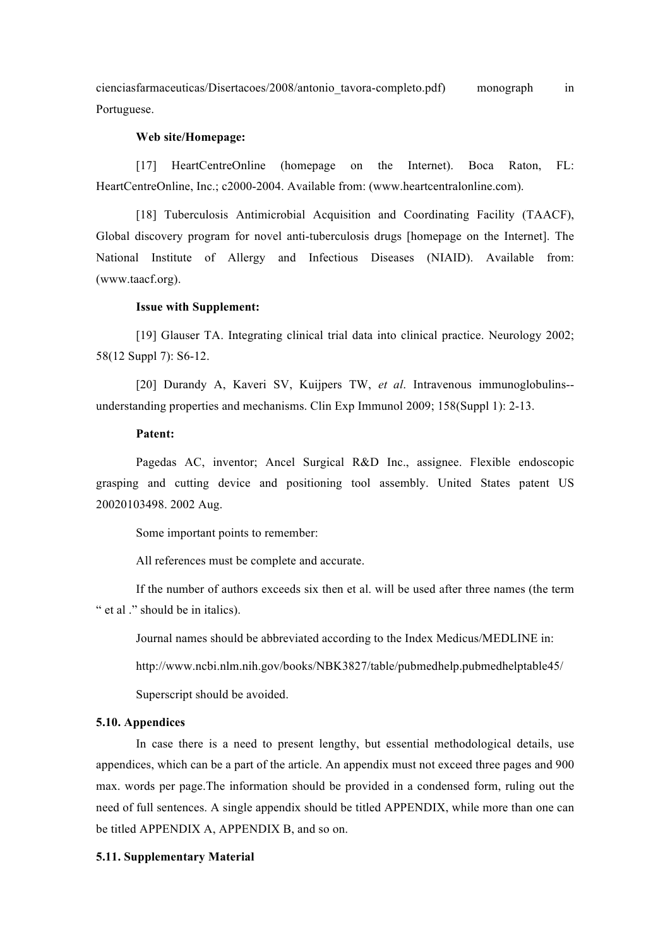cienciasfarmaceuticas/Disertacoes/2008/antonio\_tavora-completo.pdf) monograph in Portuguese.

#### **Web site/Homepage:**

[17] HeartCentreOnline (homepage on the Internet). Boca Raton, FL: HeartCentreOnline, Inc.; c2000-2004. Available from: (www.heartcentralonline.com).

[18] Tuberculosis Antimicrobial Acquisition and Coordinating Facility (TAACF), Global discovery program for novel anti-tuberculosis drugs [homepage on the Internet]. The National Institute of Allergy and Infectious Diseases (NIAID). Available from: (www.taacf.org).

### **Issue with Supplement:**

[19] Glauser TA. Integrating clinical trial data into clinical practice. Neurology 2002; 58(12 Suppl 7): S6-12.

[20] Durandy A, Kaveri SV, Kuijpers TW, *et al*. Intravenous immunoglobulins- understanding properties and mechanisms. Clin Exp Immunol 2009; 158(Suppl 1): 2-13.

#### **Patent:**

Pagedas AC, inventor; Ancel Surgical R&D Inc., assignee. Flexible endoscopic grasping and cutting device and positioning tool assembly. United States patent US 20020103498. 2002 Aug.

Some important points to remember:

All references must be complete and accurate.

If the number of authors exceeds six then et al. will be used after three names (the term " et al ." should be in italics).

Journal names should be abbreviated according to the Index Medicus/MEDLINE in:

http://www.ncbi.nlm.nih.gov/books/NBK3827/table/pubmedhelp.pubmedhelptable45/

Superscript should be avoided.

#### **5.10. Appendices**

In case there is a need to present lengthy, but essential methodological details, use appendices, which can be a part of the article. An appendix must not exceed three pages and 900 max. words per page.The information should be provided in a condensed form, ruling out the need of full sentences. A single appendix should be titled APPENDIX, while more than one can be titled APPENDIX A, APPENDIX B, and so on.

### **5.11. Supplementary Material**